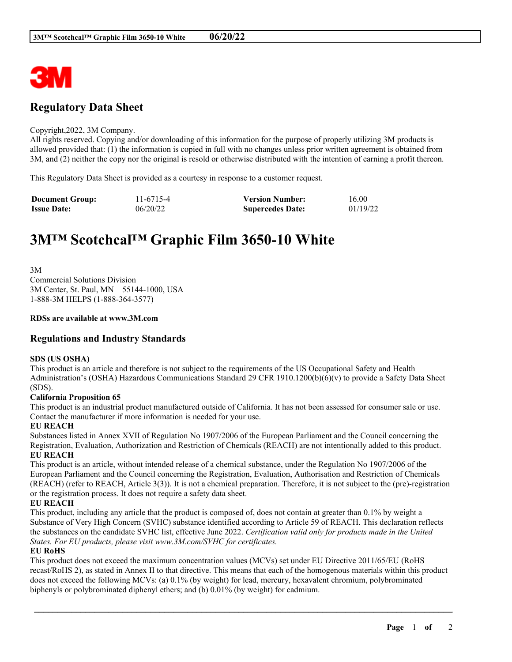

# **Regulatory Data Sheet**

#### Copyright,2022, 3M Company.

All rights reserved. Copying and/or downloading of this information for the purpose of properly utilizing 3M products is allowed provided that: (1) the information is copied in full with no changes unless prior written agreement is obtained from 3M, and (2) neither the copy nor the original is resold or otherwise distributed with the intention of earning a profit thereon.

This Regulatory Data Sheet is provided as a courtesy in response to a customer request.

| <b>Document Group:</b> | 11-6715-4 | <b>Version Number:</b>  | 16.00    |
|------------------------|-----------|-------------------------|----------|
| <b>Issue Date:</b>     | 06/20/22  | <b>Supercedes Date:</b> | 01/19/22 |

# **3M™ Scotchcal™ Graphic Film 3650-10 White**

3M Commercial Solutions Division 3M Center, St. Paul, MN 55144-1000, USA 1-888-3M HELPS (1-888-364-3577)

#### **RDSs are available at www.3M.com**

# **Regulations and Industry Standards**

#### **SDS (US OSHA)**

This product is an article and therefore is not subject to the requirements of the US Occupational Safety and Health Administration's (OSHA) Hazardous Communications Standard 29 CFR 1910.1200(b)(6)(v) to provide a Safety Data Sheet (SDS).

#### **California Proposition 65**

This product is an industrial product manufactured outside of California. It has not been assessed for consumer sale or use. Contact the manufacturer if more information is needed for your use.

#### **EU REACH**

Substances listed in Annex XVII of Regulation No 1907/2006 of the European Parliament and the Council concerning the Registration, Evaluation, Authorization and Restriction of Chemicals (REACH) are not intentionally added to this product. **EU REACH**

This product is an article, without intended release of a chemical substance, under the Regulation No 1907/2006 of the European Parliament and the Council concerning the Registration, Evaluation, Authorisation and Restriction of Chemicals (REACH) (refer to REACH, Article 3(3)). It is not a chemical preparation. Therefore, it is not subject to the (pre)-registration or the registration process. It does not require a safety data sheet.

# **EU REACH**

This product, including any article that the product is composed of, does not contain at greater than 0.1% by weight a Substance of Very High Concern (SVHC) substance identified according to Article 59 of REACH. This declaration reflects the substances on the candidate SVHC list, effective June 2022. *Certification valid only for products made in the United States. For EU products, please visit www.3M.com/SVHC for certificates.*

# **EU RoHS**

This product does not exceed the maximum concentration values (MCVs) set under EU Directive 2011/65/EU (RoHS recast/RoHS 2), as stated in Annex II to that directive. This means that each of the homogenous materials within this product does not exceed the following MCVs: (a) 0.1% (by weight) for lead, mercury, hexavalent chromium, polybrominated biphenyls or polybrominated diphenyl ethers; and (b) 0.01% (by weight) for cadmium.

\_\_\_\_\_\_\_\_\_\_\_\_\_\_\_\_\_\_\_\_\_\_\_\_\_\_\_\_\_\_\_\_\_\_\_\_\_\_\_\_\_\_\_\_\_\_\_\_\_\_\_\_\_\_\_\_\_\_\_\_\_\_\_\_\_\_\_\_\_\_\_\_\_\_\_\_\_\_\_\_\_\_\_\_\_\_\_\_\_\_